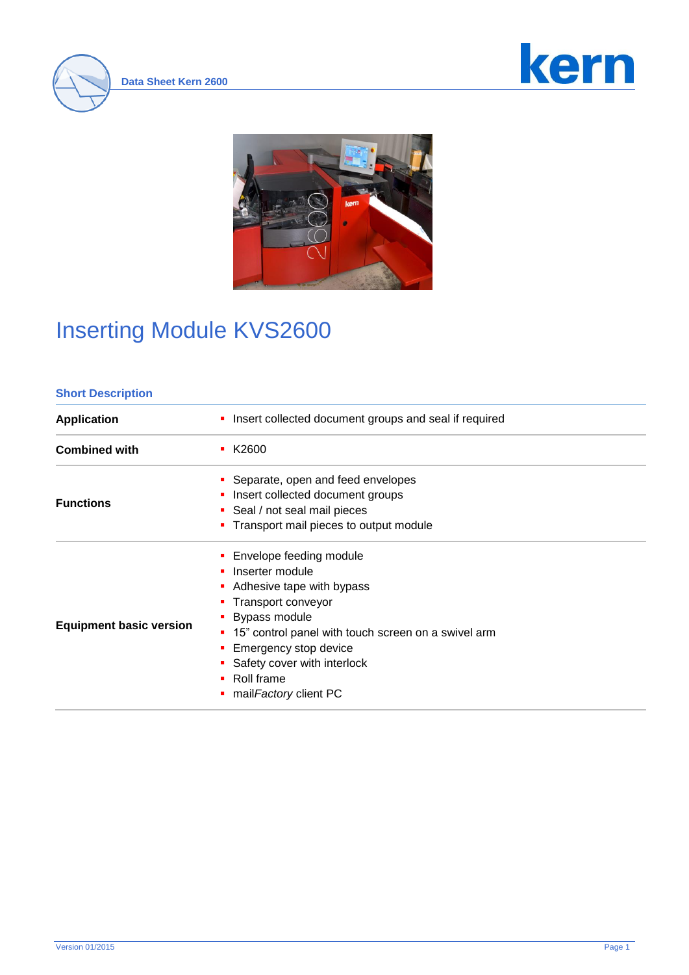





#### **Short Description**

| <b>Application</b>             | Insert collected document groups and seal if required                                                                                                                                                                                                                                                          |  |  |
|--------------------------------|----------------------------------------------------------------------------------------------------------------------------------------------------------------------------------------------------------------------------------------------------------------------------------------------------------------|--|--|
| <b>Combined with</b>           | $\blacksquare$ K2600                                                                                                                                                                                                                                                                                           |  |  |
| <b>Functions</b>               | • Separate, open and feed envelopes<br>• Insert collected document groups<br>• Seal / not seal mail pieces<br>Transport mail pieces to output module                                                                                                                                                           |  |  |
| <b>Equipment basic version</b> | <b>Envelope feeding module</b><br>• Inserter module<br>• Adhesive tape with bypass<br>• Transport conveyor<br>Bypass module<br>• 15" control panel with touch screen on a swivel arm<br>■ Emergency stop device<br>• Safety cover with interlock<br>$\blacksquare$ Roll frame<br>mail <i>Factory</i> client PC |  |  |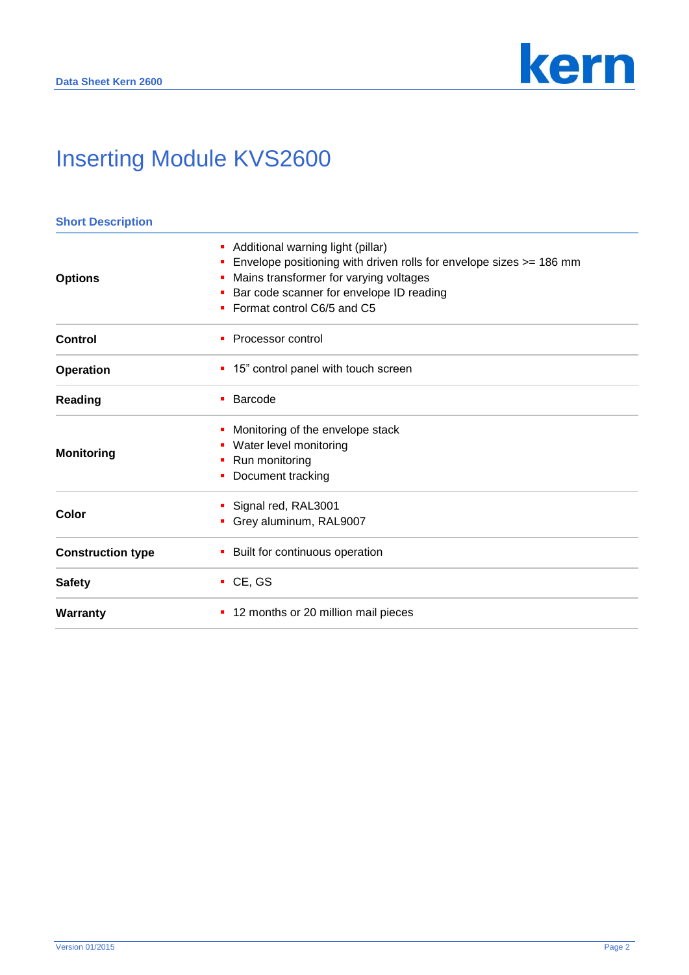

| <b>Short Description</b> |                                                                                                                                                                                                                                             |  |
|--------------------------|---------------------------------------------------------------------------------------------------------------------------------------------------------------------------------------------------------------------------------------------|--|
| <b>Options</b>           | Additional warning light (pillar)<br>ш<br>Envelope positioning with driven rolls for envelope sizes >= 186 mm<br>ш<br>Mains transformer for varying voltages<br>Bar code scanner for envelope ID reading<br>Format control C6/5 and C5<br>٠ |  |
| Control                  | Processor control<br>٠                                                                                                                                                                                                                      |  |
| <b>Operation</b>         | 15" control panel with touch screen<br>п                                                                                                                                                                                                    |  |
| Reading                  | Barcode<br>٠                                                                                                                                                                                                                                |  |
| <b>Monitoring</b>        | Monitoring of the envelope stack<br>ш<br>Water level monitoring<br>Run monitoring<br>Document tracking                                                                                                                                      |  |
| Color                    | Signal red, RAL3001<br>Grey aluminum, RAL9007                                                                                                                                                                                               |  |
| <b>Construction type</b> | Built for continuous operation                                                                                                                                                                                                              |  |
| <b>Safety</b>            | $\cdot$ CE, GS                                                                                                                                                                                                                              |  |
| Warranty                 | 12 months or 20 million mail pieces<br>ш                                                                                                                                                                                                    |  |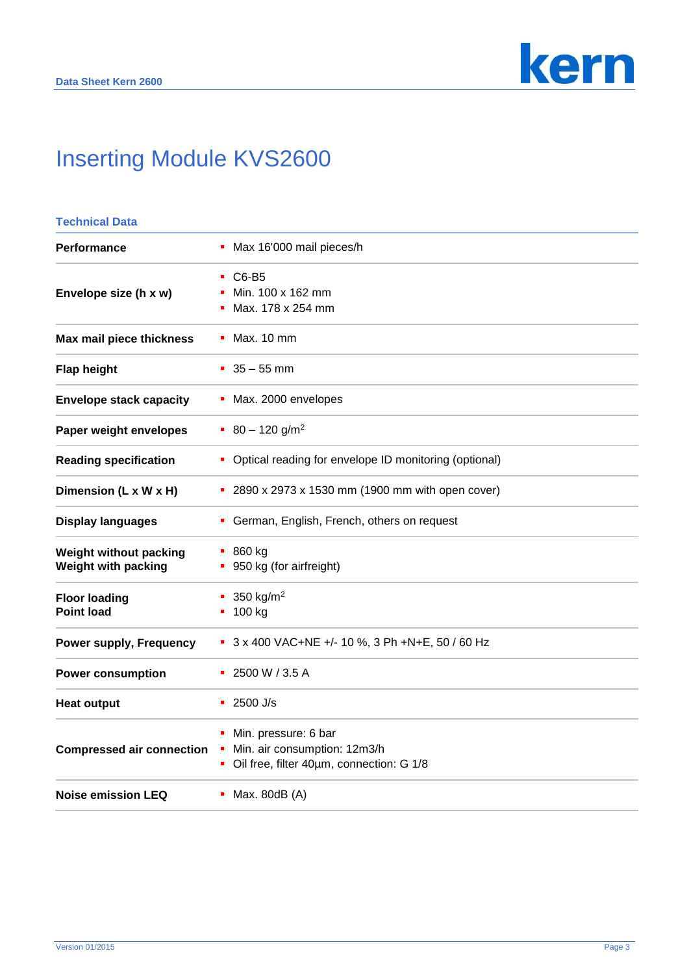

| <b>Technical Data</b>                         |                                                                                                       |  |
|-----------------------------------------------|-------------------------------------------------------------------------------------------------------|--|
| <b>Performance</b>                            | Max 16'000 mail pieces/h<br>٠                                                                         |  |
| Envelope size (h x w)                         | C6-B5<br>٠<br>Min. 100 x 162 mm<br>Max. 178 x 254 mm<br>п                                             |  |
| Max mail piece thickness                      | Max. 10 mm                                                                                            |  |
| <b>Flap height</b>                            | $-35 - 55$ mm                                                                                         |  |
| <b>Envelope stack capacity</b>                | Max. 2000 envelopes                                                                                   |  |
| Paper weight envelopes                        | $80 - 120$ g/m <sup>2</sup>                                                                           |  |
| <b>Reading specification</b>                  | Optical reading for envelope ID monitoring (optional)<br>٠                                            |  |
| Dimension (L x W x H)                         | • 2890 x 2973 x 1530 mm (1900 mm with open cover)                                                     |  |
| <b>Display languages</b>                      | German, English, French, others on request<br>٠                                                       |  |
| Weight without packing<br>Weight with packing | $-860$ kg<br>950 kg (for airfreight)                                                                  |  |
| <b>Floor loading</b><br><b>Point load</b>     | 350 $kg/m2$<br>п<br>$-100$ kg                                                                         |  |
| <b>Power supply, Frequency</b>                | 3 x 400 VAC+NE +/- 10 %, 3 Ph +N+E, 50 / 60 Hz                                                        |  |
| <b>Power consumption</b>                      | 2500 W / 3.5 A                                                                                        |  |
| <b>Heat output</b>                            | 2500 J/s<br>٠                                                                                         |  |
| <b>Compressed air connection</b>              | Min. pressure: 6 bar<br>п<br>Min. air consumption: 12m3/h<br>Oil free, filter 40um, connection: G 1/8 |  |
| <b>Noise emission LEQ</b>                     | Max. 80dB (A)                                                                                         |  |